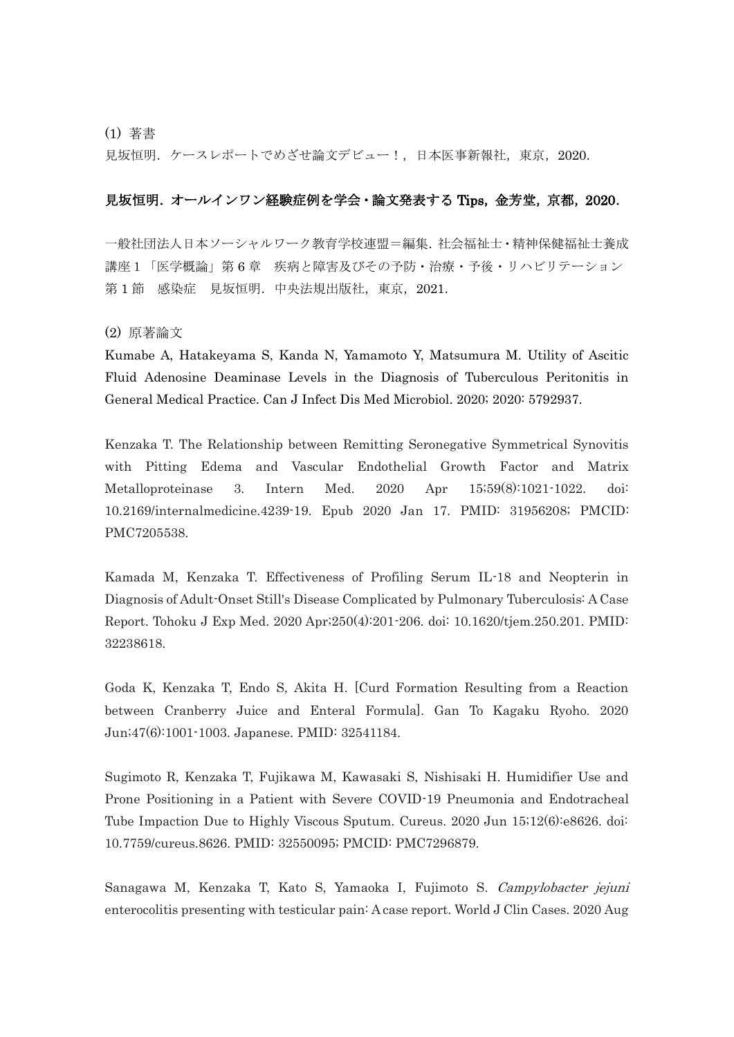(1) 著書

見坂恒明. ケースレポートでめざせ論文デビュー!,日本医事新報社,東京, 2020.

## 見坂恒明. オールインワン経験症例を学会・論文発表する Tips, 金芳堂, 京都, 2020.

一般社団法人日本ソーシャルワーク教育学校連盟=編集.社会福祉士・精神保健福祉士養成 講座1「医学概論」第 6 章 疾病と障害及びその予防・治療・予後・リハビリテーション 第1節 感染症 見坂恒明. 中央法規出版社, 東京, 2021.

(2) 原著論文

Kumabe A, Hatakeyama S, Kanda N, Yamamoto Y, Matsumura M. Utility of Ascitic Fluid Adenosine Deaminase Levels in the Diagnosis of Tuberculous Peritonitis in General Medical Practice. Can J Infect Dis Med Microbiol. 2020; 2020: 5792937.

Kenzaka T. The Relationship between Remitting Seronegative Symmetrical Synovitis with Pitting Edema and Vascular Endothelial Growth Factor and Matrix Metalloproteinase 3. Intern Med. 2020 Apr 15;59(8):1021-1022. doi: 10.2169/internalmedicine.4239-19. Epub 2020 Jan 17. PMID: 31956208; PMCID: PMC7205538.

Kamada M, Kenzaka T. Effectiveness of Profiling Serum IL-18 and Neopterin in Diagnosis of Adult-Onset Still's Disease Complicated by Pulmonary Tuberculosis: A Case Report. Tohoku J Exp Med. 2020 Apr;250(4):201-206. doi: 10.1620/tjem.250.201. PMID: 32238618.

Goda K, Kenzaka T, Endo S, Akita H. [Curd Formation Resulting from a Reaction between Cranberry Juice and Enteral Formula]. Gan To Kagaku Ryoho. 2020 Jun;47(6):1001-1003. Japanese. PMID: 32541184.

Sugimoto R, Kenzaka T, Fujikawa M, Kawasaki S, Nishisaki H. Humidifier Use and Prone Positioning in a Patient with Severe COVID-19 Pneumonia and Endotracheal Tube Impaction Due to Highly Viscous Sputum. Cureus. 2020 Jun 15;12(6):e8626. doi: 10.7759/cureus.8626. PMID: 32550095; PMCID: PMC7296879.

Sanagawa M, Kenzaka T, Kato S, Yamaoka I, Fujimoto S. Campylobacter jejuni enterocolitis presenting with testicular pain: A case report. World J Clin Cases. 2020 Aug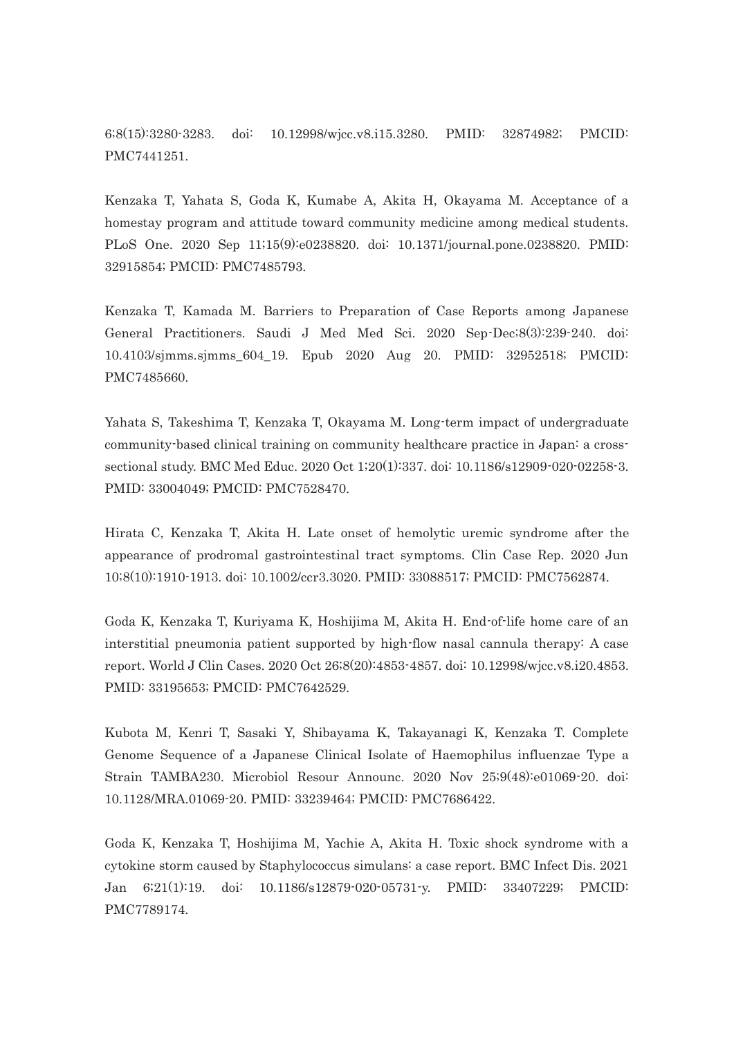6;8(15):3280-3283. doi: 10.12998/wjcc.v8.i15.3280. PMID: 32874982; PMCID: PMC7441251.

Kenzaka T, Yahata S, Goda K, Kumabe A, Akita H, Okayama M. Acceptance of a homestay program and attitude toward community medicine among medical students. PLoS One. 2020 Sep 11;15(9):e0238820. doi: 10.1371/journal.pone.0238820. PMID: 32915854; PMCID: PMC7485793.

Kenzaka T, Kamada M. Barriers to Preparation of Case Reports among Japanese General Practitioners. Saudi J Med Med Sci. 2020 Sep-Dec;8(3):239-240. doi: 10.4103/sjmms.sjmms\_604\_19. Epub 2020 Aug 20. PMID: 32952518; PMCID: PMC7485660.

Yahata S, Takeshima T, Kenzaka T, Okayama M. Long-term impact of undergraduate community-based clinical training on community healthcare practice in Japan: a crosssectional study. BMC Med Educ. 2020 Oct 1;20(1):337. doi: 10.1186/s12909-020-02258-3. PMID: 33004049; PMCID: PMC7528470.

Hirata C, Kenzaka T, Akita H. Late onset of hemolytic uremic syndrome after the appearance of prodromal gastrointestinal tract symptoms. Clin Case Rep. 2020 Jun 10;8(10):1910-1913. doi: 10.1002/ccr3.3020. PMID: 33088517; PMCID: PMC7562874.

Goda K, Kenzaka T, Kuriyama K, Hoshijima M, Akita H. End-of-life home care of an interstitial pneumonia patient supported by high-flow nasal cannula therapy: A case report. World J Clin Cases. 2020 Oct 26;8(20):4853-4857. doi: 10.12998/wjcc.v8.i20.4853. PMID: 33195653; PMCID: PMC7642529.

Kubota M, Kenri T, Sasaki Y, Shibayama K, Takayanagi K, Kenzaka T. Complete Genome Sequence of a Japanese Clinical Isolate of Haemophilus influenzae Type a Strain TAMBA230. Microbiol Resour Announc. 2020 Nov 25;9(48):e01069-20. doi: 10.1128/MRA.01069-20. PMID: 33239464; PMCID: PMC7686422.

Goda K, Kenzaka T, Hoshijima M, Yachie A, Akita H. Toxic shock syndrome with a cytokine storm caused by Staphylococcus simulans: a case report. BMC Infect Dis. 2021 Jan 6;21(1):19. doi: 10.1186/s12879-020-05731-y. PMID: 33407229; PMCID: PMC7789174.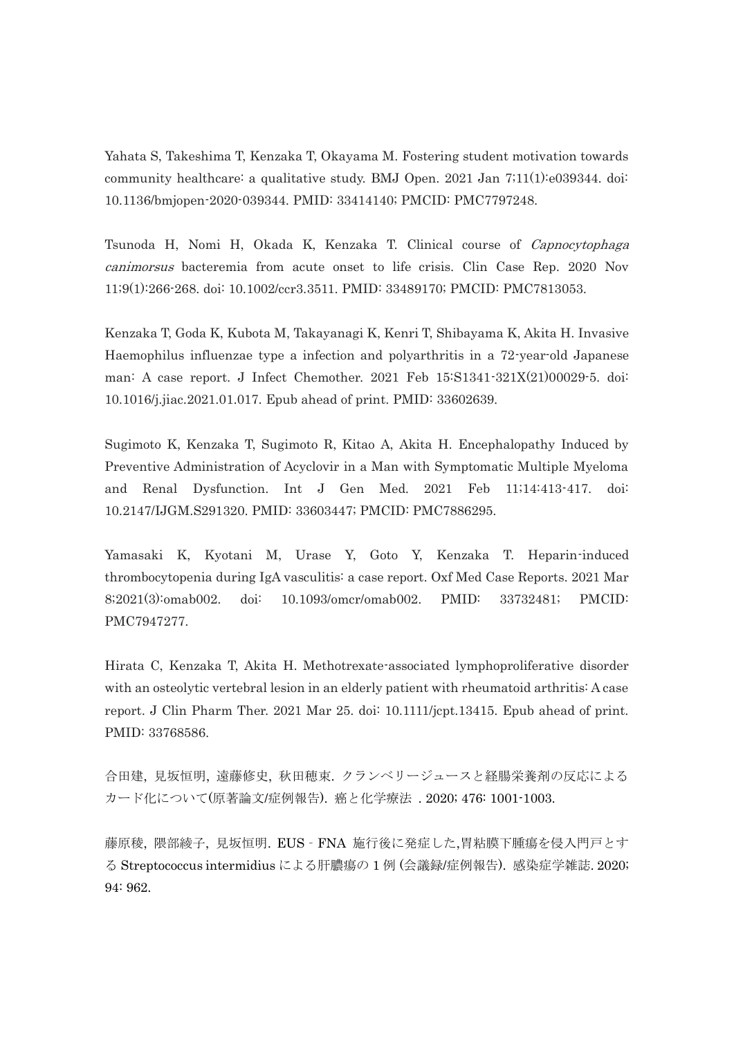Yahata S, Takeshima T, Kenzaka T, Okayama M. Fostering student motivation towards community healthcare: a qualitative study. BMJ Open. 2021 Jan 7;11(1):e039344. doi: 10.1136/bmjopen-2020-039344. PMID: 33414140; PMCID: PMC7797248.

Tsunoda H, Nomi H, Okada K, Kenzaka T. Clinical course of Capnocytophaga canimorsus bacteremia from acute onset to life crisis. Clin Case Rep. 2020 Nov 11;9(1):266-268. doi: 10.1002/ccr3.3511. PMID: 33489170; PMCID: PMC7813053.

Kenzaka T, Goda K, Kubota M, Takayanagi K, Kenri T, Shibayama K, Akita H. Invasive Haemophilus influenzae type a infection and polyarthritis in a 72-year-old Japanese man: A case report. J Infect Chemother. 2021 Feb 15:S1341-321X(21)00029-5. doi: 10.1016/j.jiac.2021.01.017. Epub ahead of print. PMID: 33602639.

Sugimoto K, Kenzaka T, Sugimoto R, Kitao A, Akita H. Encephalopathy Induced by Preventive Administration of Acyclovir in a Man with Symptomatic Multiple Myeloma and Renal Dysfunction. Int J Gen Med. 2021 Feb 11;14:413-417. doi: 10.2147/IJGM.S291320. PMID: 33603447; PMCID: PMC7886295.

Yamasaki K, Kyotani M, Urase Y, Goto Y, Kenzaka T. Heparin-induced thrombocytopenia during IgA vasculitis: a case report. Oxf Med Case Reports. 2021 Mar 8;2021(3):omab002. doi: 10.1093/omcr/omab002. PMID: 33732481; PMCID: PMC7947277.

Hirata C, Kenzaka T, Akita H. Methotrexate-associated lymphoproliferative disorder with an osteolytic vertebral lesion in an elderly patient with rheumatoid arthritis: A case report. J Clin Pharm Ther. 2021 Mar 25. doi: 10.1111/jcpt.13415. Epub ahead of print. PMID: 33768586.

合田建, 見坂恒明, 遠藤修史, 秋田穂束. クランベリージュースと経腸栄養剤の反応による カード化について(原著論文/症例報告). 癌と化学療法 . 2020; 476: 1001-1003.

藤原稜, 隈部綾子, 見坂恒明. EUS‐FNA 施行後に発症した,胃粘膜下腫瘍を侵入門戸とす る Streptococcus intermidius による肝膿瘍の 1 例 (会議録/症例報告). 感染症学雑誌. 2020; 94: 962.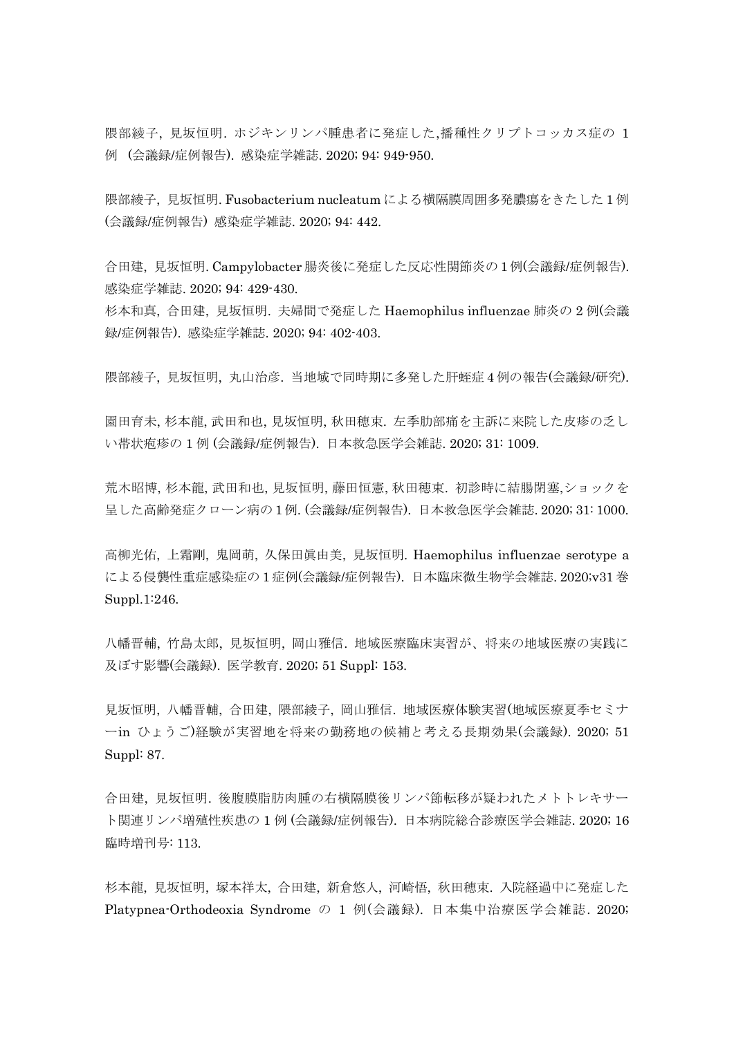隈部綾子, 見坂恒明. ホジキンリンパ腫患者に発症した,播種性クリプトコッカス症の 1 例 (会議録/症例報告). 感染症学雑誌. 2020; 94: 949-950.

隈部綾子, 見坂恒明. Fusobacterium nucleatum による横隔膜周囲多発膿瘍をきたした 1 例 (会議録/症例報告) 感染症学雑誌. 2020; 94: 442.

合田建, 見坂恒明. Campylobacter 腸炎後に発症した反応性関節炎の 1例(会議録/症例報告). 感染症学雑誌. 2020; 94: 429-430.

杉本和真, 合田建, 見坂恒明. 夫婦間で発症した Haemophilus influenzae 肺炎の 2 例(会議 録/症例報告). 感染症学雑誌. 2020; 94: 402-403.

隈部綾子, 見坂恒明, 丸山治彦. 当地域で同時期に多発した肝蛭症 4 例の報告(会議録/研究).

園田育未, 杉本龍, 武田和也, 見坂恒明, 秋田穂束. 左季肋部痛を主訴に来院した皮疹の乏し い帯状疱疹の 1 例 (会議録/症例報告). 日本救急医学会雑誌. 2020; 31: 1009.

荒木昭博, 杉本龍, 武田和也, 見坂恒明, 藤田恒憲, 秋田穂束. 初診時に結腸閉塞,ショックを 呈した高齢発症クローン病の 1例. (会議録/症例報告). 日本救急医学会雑誌. 2020; 31: 1000.

高柳光佑, 上霜剛, 鬼岡萌, 久保田眞由美, 見坂恒明. Haemophilus influenzae serotype a による侵襲性重症感染症の 1 症例(会議録/症例報告). 日本臨床微生物学会雑誌. 2020;v31 巻 Suppl.1:246.

八幡晋輔, 竹島太郎, 見坂恒明, 岡山雅信. 地域医療臨床実習が、将来の地域医療の実践に 及ぼす影響(会議録). 医学教育. 2020; 51 Suppl: 153.

見坂恒明, 八幡晋輔, 合田建, 隈部綾子, 岡山雅信. 地域医療体験実習(地域医療夏季セミナ ーin ひょうご)経験が実習地を将来の勤務地の候補と考える長期効果(会議録). 2020; 51 Suppl: 87.

合田建, 見坂恒明. 後腹膜脂肪肉腫の右横隔膜後リンパ節転移が疑われたメトトレキサー ト関連リンパ増殖性疾患の 1 例 (会議録/症例報告). 日本病院総合診療医学会雑誌. 2020; 16 臨時増刊号: 113.

杉本龍, 見坂恒明, 塚本祥太, 合田建, 新倉悠人, 河崎悟, 秋田穂束. 入院経過中に発症した Platypnea-Orthodeoxia Syndrome の 1 例(会議録). 日本集中治療医学会雑誌. 2020;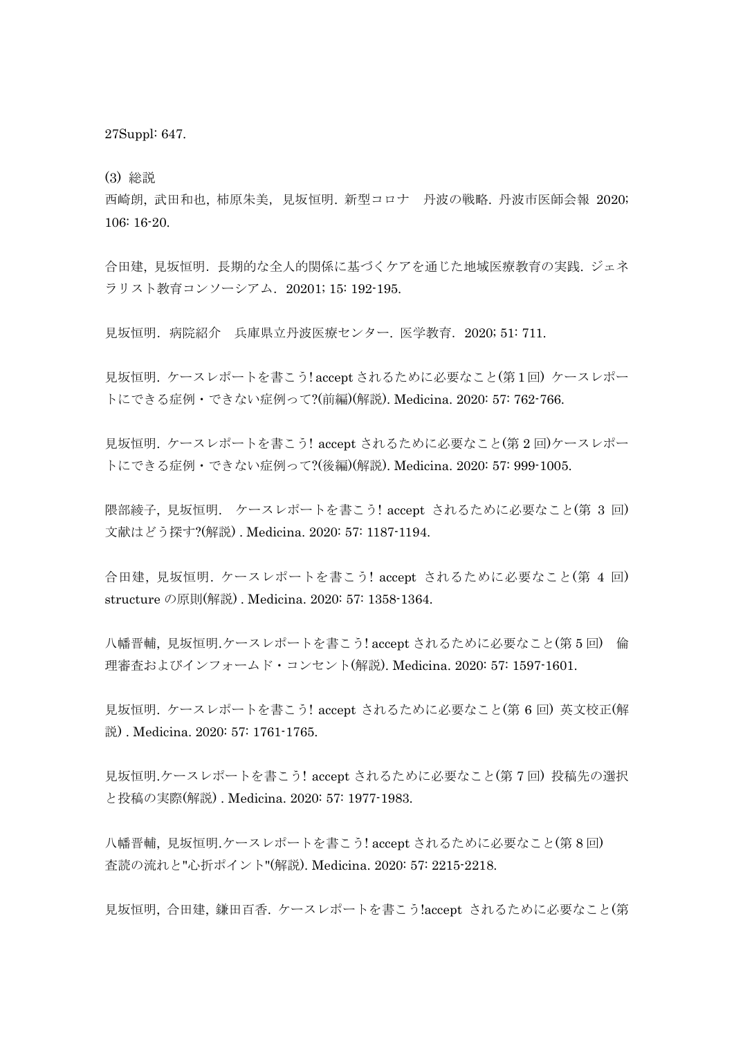27Suppl: 647.

(3) 総説

西崎朗, 武田和也, 柿原朱美,見坂恒明. 新型コロナ 丹波の戦略. 丹波市医師会報 2020; 106: 16-20.

合田建, 見坂恒明.長期的な全人的関係に基づくケアを通じた地域医療教育の実践. ジェネ ラリスト教育コンソーシアム.20201; 15: 192-195.

見坂恒明.病院紹介 兵庫県立丹波医療センター. 医学教育.2020; 51: 711.

見坂恒明. ケースレポートを書こう! accept されるために必要なこと(第1回) ケースレポー トにできる症例・できない症例って?(前編)(解説). Medicina. 2020: 57: 762-766.

見坂恒明. ケースレポートを書こう! accept されるために必要なこと(第 2 回)ケースレポー トにできる症例・できない症例って?(後編)(解説). Medicina. 2020: 57: 999-1005.

隈部綾子, 見坂恒明. ケースレポートを書こう! accept されるために必要なこと(第 3 回) 文献はどう探す?(解説) . Medicina. 2020: 57: 1187-1194.

合田建, 見坂恒明. ケースレポートを書こう! accept されるために必要なこと(第 4 回) structure の原則(解説) . Medicina. 2020: 57: 1358-1364.

八幡晋輔, 見坂恒明.ケースレポートを書こう! accept されるために必要なこと(第 5 回) 倫 理審査およびインフォームド・コンセント(解説). Medicina. 2020: 57: 1597-1601.

見坂恒明. ケースレポートを書こう! accept されるために必要なこと(第 6 回) 英文校正(解 説) . Medicina. 2020: 57: 1761-1765.

見坂恒明.ケースレポートを書こう! accept されるために必要なこと(第 7 回) 投稿先の選択 と投稿の実際(解説) . Medicina. 2020: 57: 1977-1983.

八幡晋輔, 見坂恒明.ケースレポートを書こう! accept されるために必要なこと(第 8 回) 査読の流れと"心折ポイント"(解説). Medicina. 2020: 57: 2215-2218.

見坂恒明, 合田建, 鎌田百香. ケースレポートを書こう!accept されるために必要なこと(第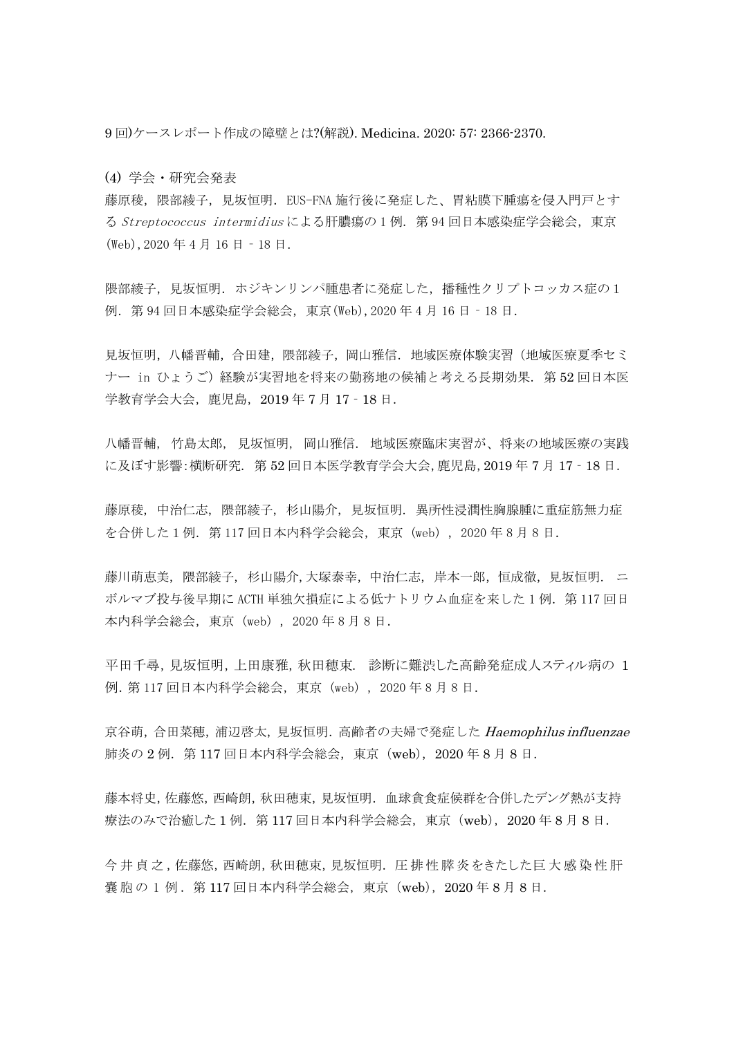9 回)ケースレポート作成の障壁とは?(解説). Medicina. 2020: 57: 2366-2370.

(4) 学会・研究会発表

藤原稜,隈部綾子,見坂恒明.EUS-FNA 施行後に発症した、胃粘膜下腫瘍を侵入門戸とす る Streptococcus intermidius による肝膿瘍の 1 例. 第 94 回日本感染症学会総会,東京 (Web),2020 年 4 月 16 日‐18 日.

隈部綾子,見坂恒明.ホジキンリンパ腫患者に発症した、播種性クリプトコッカス症の1 例.第 94 回日本感染症学会総会,東京(Web),2020 年 4 月 16 日‐18 日.

見坂恒明,八幡晋輔,合田建,隈部綾子,岡山雅信.地域医療体験実習(地域医療夏季セミ ナー in ひょうご)経験が実習地を将来の勤務地の候補と考える長期効果. 第52回日本医 学教育学会大会,鹿児島,2019 年 7 月 17‐18 日.

八幡晋輔, 竹島太郎, 見坂恒明, 岡山雅信. 地域医療臨床実習が、将来の地域医療の実践 に及ぼす影響:横断研究. 第 52 回日本医学教育学会大会,鹿児島,2019 年 7 月 17‐18 日.

藤原稜, 中治仁志, 隈部綾子, 杉山陽介, 見坂恒明. 異所性浸潤性胸腺腫に重症筋無力症 を合併した1例. 第117 回日本内科学会総会, 東京 (web), 2020 年 8 月 8 日.

藤川萌恵美, 隈部綾子, 杉山陽介,大塚泰幸,中治仁志, 岸本一郎,恒成徹,見坂恒明. ニ ボルマブ投与後早期に ACTH 単独欠損症による低ナトリウム血症を来した1例. 第117回日 本内科学会総会,東京(web),2020 年 8 月 8 日.

平田千尋,見坂恒明,上田康雅,秋田穂束. 診断に難渋した高齢発症成人スティル病の 1 例.第 117 回日本内科学会総会,東京(web),2020 年 8 月 8 日.

京谷萌,合田菜穂,浦辺啓太,見坂恒明. 高齢者の夫婦で発症した Haemophilus influenzae 肺炎の 2 例. 第 117 回日本内科学会総会, 東京 (web), 2020 年 8 月 8 日.

藤本将史,佐藤悠,西崎朗,秋田穂束,見坂恒明.血球貪食症候群を合併したデング熱が支持 療法のみで治癒した1例. 第117 回日本内科学会総会,東京 (web), 2020 年 8 月 8 日.

今井貞之,佐藤悠,西崎朗,秋田穂束,見坂恒明. 圧排 性 膵 炎 をきたした巨 大 感 染 性 肝 嚢胞の 1 例 .第 117 回日本内科学会総会,東京(web),2020 年 8 月 8 日.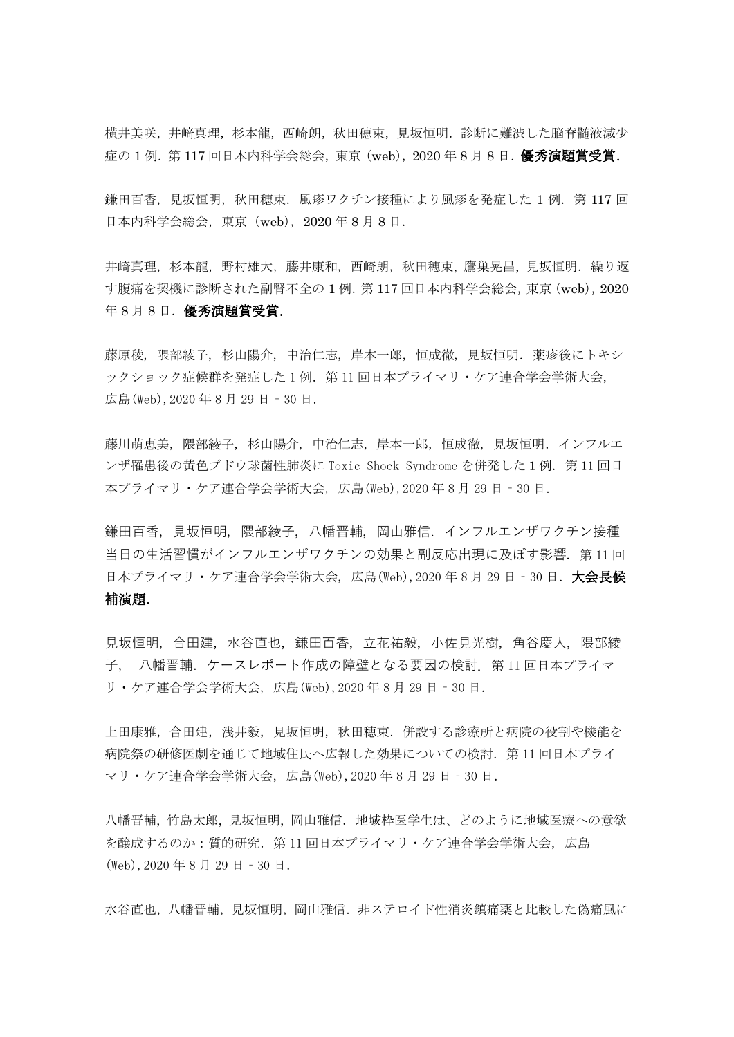横井美咲,井﨑真理,杉本龍,西崎朗,秋田穂束,見坂恒明.診断に難渋した脳脊髄液減少 症の1例. 第117回日本内科学会総会,東京(web), 2020年8月8日. 優秀演題賞受賞.

鎌田百香,見坂恒明,秋田穂束.風疹ワクチン接種により風疹を発症した1例. 第117回 日本内科学会総会,東京(web),2020 年 8 月 8 日.

井崎真理,杉本龍,野村雄大,藤井康和,西崎朗,秋田穂束, 鷹巣晃昌, 見坂恒明.繰り返 す腹痛を契機に診断された副腎不全の 1 例.第 117 回日本内科学会総会,東京(web),2020 年 8 月 8 日. 優秀演題賞受賞.

藤原稜, 隈部綾子, 杉山陽介, 中治仁志, 岸本一郎, 恒成徹, 見坂恒明.[薬疹後にトキシ](https://confit.atlas.jp/guide/event/jpca2020/subject/PPP-544/advanced) [ックショック症候群を発症した](https://confit.atlas.jp/guide/event/jpca2020/subject/PPP-544/advanced)1例. 第11回日本プライマリ・ケア連合学会学術大会, 広島(Web),2020 年 8 月 29 日‐30 日.

藤川萌恵美, 隈部綾子, 杉山陽介, 中治仁志, 岸本一郎, 恒成徹, 見坂恒明.[インフルエ](https://confit.atlas.jp/guide/event/jpca2020/subject/PPP-603/advanced) [ンザ罹患後の黄色ブドウ球菌性肺炎に](https://confit.atlas.jp/guide/event/jpca2020/subject/PPP-603/advanced) Toxic Shock Syndrome を併発した1例.第 11 回日 本プライマリ・ケア連合学会学術大会, 広島(Web),2020 年 8 月 29 日‐30 日.

鎌田百香, 見坂恒明, 隈部綾子, 八幡晋輔, 岡山雅信. インフルエンザワクチン接種 当日の生活習慣がインフルエンザワクチンの効果と副反応出現に及ぼす影響. 第 11 回 日本プライマリ・ケア連合学会学術大会, 広島(Web),2020年8月29日 - 30日, **大会長候** 補演題.

見坂恒明,合田建,水谷直也,鎌田百香,立花祐毅,小佐見光樹,角谷慶人,隈部綾 子, 八幡晋輔.ケースレポート作成の障壁となる要因の検討.第 11 回日本プライマ リ・ケア連合学会学術大会, 広島(Web),2020 年 8 月 29 日‐30 日.

上田康雅,合田建,浅井毅,見坂恒明,秋田穂束.併設する診療所と病院の役割や機能を 病院祭の研修医劇を通じて地域住民へ広報した効果についての検討. 第11回日本プライ マリ・ケア連合学会学術大会, 広島(Web),2020 年 8 月 29 日‐30 日.

八幡晋輔, 竹島太郎, 見坂恒明, 岡山雅信.地域枠医学生は、どのように地域医療への意欲 を醸成するのか:質的研究.第 11 回日本プライマリ・ケア連合学会学術大会, 広島 (Web),2020 年 8 月 29 日‐30 日.

水谷直也,八幡晋輔,見坂恒明,岡山雅信. 非ステロイド性消炎鎮痛薬と比較した偽痛風に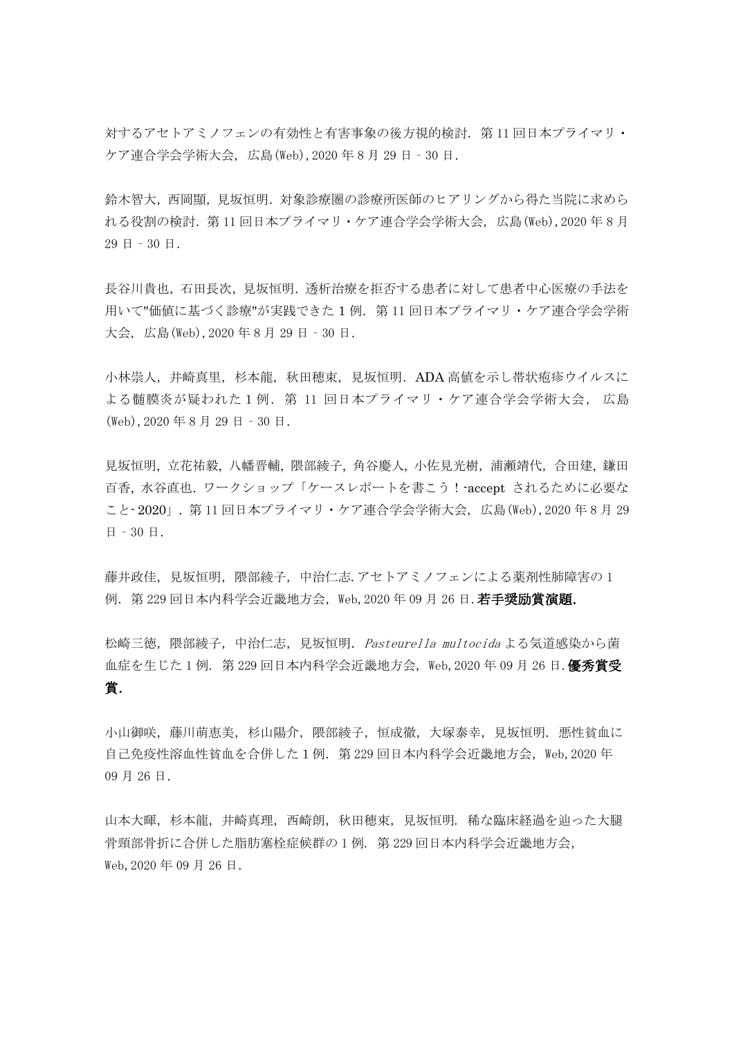対するアセトアミノフェンの有効性と有害事象の後方視的検討.第 11 回日本プライマリ・ ケア連合学会学術大会, 広島(Web),2020 年 8 月 29 日‐30 日.

鈴木智大,西岡顯,見坂恒明.対象診療圏の診療所医師のヒアリングから得た当院に求めら れる役割の検討.第 11 回日本プライマリ・ケア連合学会学術大会, 広島(Web),2020 年 8 月 29 日‐30 日.

長谷川貴也,石田長次,見坂恒明.透析治療を拒否する患者に対して患者中心医療の手法を 用いて"価値に基づく診療"が実践できた1例. 第11回日本プライマリ・ケア連合学会学術 大会, 広島(Web),2020 年 8 月 29 日‐30 日.

小林崇人,井崎真里,杉本龍,秋田穂束,見坂恒明. ADA 高値を示し帯状疱疹ウイルスに よる髄膜炎が疑われた1例.第 11 回日本プライマリ・ケア連合学会学術大会, 広島 (Web),2020 年 8 月 29 日‐30 日.

見坂恒明, 立花祐毅, 八幡晋輔, 隈部綾子, 角谷慶人, 小佐見光樹,浦瀬靖代,合田建, 鎌田 百香, 水谷直也. ワークショップ「ケースレポートを書こう!-accept されるために必要な こと- 2020」. 第 11 回日本プライマリ・ケア連合学会学術大会, 広島(Web),2020 年 8 月 29 日‐30 日.

藤井政佳, 見坂恒明, 隈部綾子, 中治仁志.アセトアミノフェンによる薬剤性肺障害の 1 例. 第 229 回日本内科学会近畿地方会, Web, 2020 年 09 月 26 日. 若手奨励賞演題.

松崎三徳,隈部綾子,中治仁志,見坂恒明. Pasteurella multocida よる気道感染から菌 血症を生じた 1 例. 第 229 回日本内科学会近畿地方会, Web, 2020 年 09 月 26 日. 優秀賞受 賞.

小山御咲,藤川萌恵美,杉山陽介,隈部綾子,恒成徹,大塚泰幸,見坂恒明.悪性貧血に 自己免疫性溶血性貧血を合併した1例. 第229 回日本内科学会近畿地方会, Web, 2020 年 09 月 26 日.

山本大暉,杉本龍,井崎真理,西崎朗,秋田穂束,見坂恒明. 稀な臨床経過を辿った大腿 骨頸部骨折に合併した脂肪塞栓症候群の 1 例. 第 229 回日本内科学会近畿地方会, Web, 2020年 09月 26日.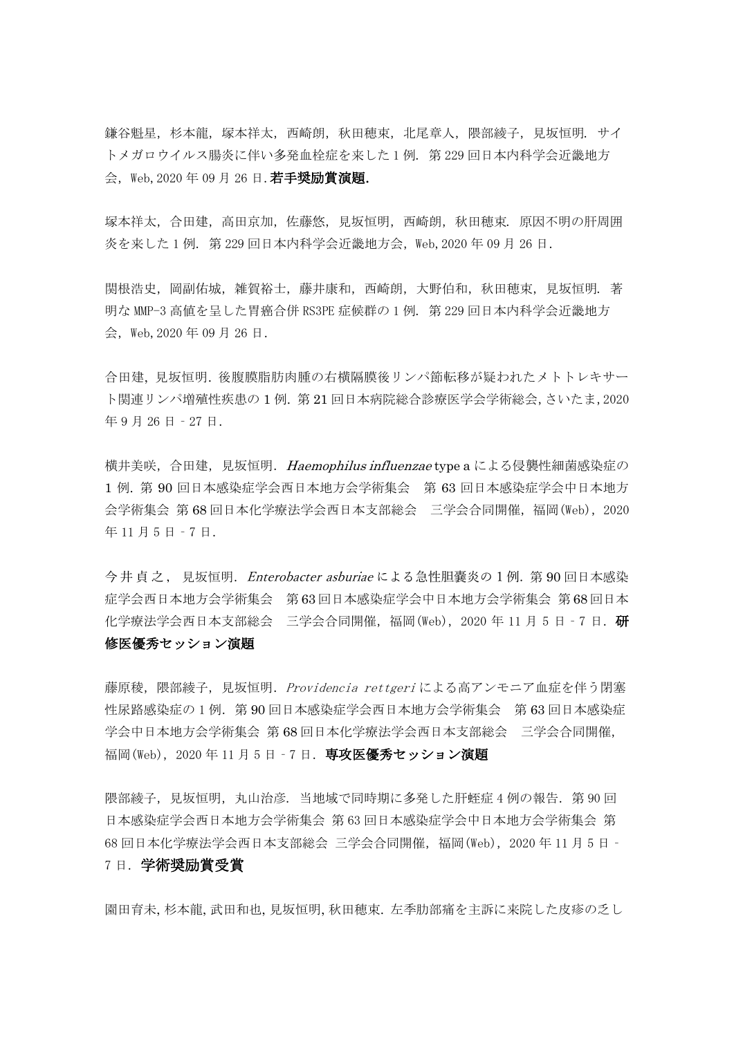鎌谷魁星,杉本龍,塚本祥太,西崎朗,秋田穂束,北尾章人,隈部綾子,見坂恒明. サイ トメガロウイルス腸炎に伴い多発血栓症を来した 1 例. 第 229 回日本内科学会近畿地方 会, Web, 2020年 09月 26日. 若手奨励賞演題.

塚本祥太,合田建,高田京加,佐藤悠,見坂恒明,西崎朗,秋田穂束. 原因不明の肝周囲 炎を来した 1 例. 第 229 回日本内科学会近畿地方会,Web,2020 年 09 月 26 日.

関根浩史, 岡副佑城, 雑賀裕士, 藤井康和, 西崎朗, 大野伯和, 秋田穂束, 見坂恒明. 著 明な MMP-3 高値を呈した胃癌合併 RS3PE 症候群の 1 例. 第 229 回日本内科学会近畿地方 会,Web,2020 年 09 月 26 日.

合田建, 見坂恒明. 後腹膜脂肪肉腫の右横隔膜後リンパ節転移が疑われたメトトレキサー ト関連リンパ増殖性疾患の 1 例. 第 21 回日本病院総合診療医学会学術総会,さいたま,2020 年 9 月 26 日‐27 日.

横井美咲, 合田建, 見坂恒明. Haemophilus influenzae type a による侵襲性細菌感染症の 1 例. 第 90 回日本感染症学会西日本地方会学術集会 第 63 回日本感染症学会中日本地方 会学術集会 第 68 回日本化学療法学会西日本支部総会 三学会合同開催,福岡(Web),2020 年 11 月 5 日‐7 日.

今井貞之, 見坂恒明. Enterobacter asburiae による急性胆嚢炎の1例. 第90回日本感染 症学会西日本地方会学術集会 第 63 回日本感染症学会中日本地方会学術集会 第 68 回日本 化学療法学会西日本支部総会 三学会合同開催,福岡(Web), 2020 年 11 月 5 日 - 7 日. 研 修医優秀セッション演題

藤原稜, 隈部綾子, 見坂恒明. Providencia rettgeri による高アンモニア血症を伴う閉塞 性尿路感染症の 1例. 第 90回日本感染症学会西日本地方会学術集会 第 63回日本感染症 学会中日本地方会学術集会 第 68 回日本化学療法学会西日本支部総会 三学会合同開催, 福岡(Web), 2020年11月5日 - 7日. 専攻医優秀セッション演題

隈部綾子,見坂恒明,丸山治彦. 当地域で同時期に多発した肝蛭症 4 例の報告. 第 90 回 日本感染症学会西日本地方会学術集会 第 63 回日本感染症学会中日本地方会学術集会 第 68 回日本化学療法学会西日本支部総会 三学会合同開催,福岡(Web),2020 年 11 月 5 日‐ 7 日.学術奨励賞受賞

園田育未, 杉本龍, 武田和也, 見坂恒明, 秋田穂束. 左季肋部痛を主訴に来院した皮疹の乏し